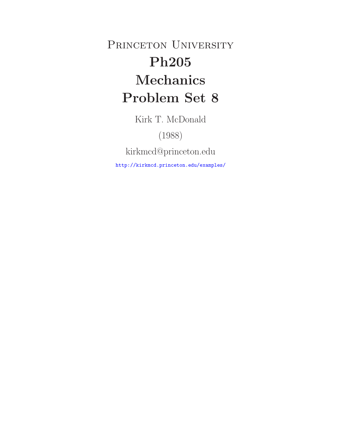PRINCETON UNIVERSITY **Ph205 Mechanics Problem Set 8**

Kirk T. McDonald

(1988)

kirkmcd@princeton.edu

http://kirkmcd.princeton.edu/examples/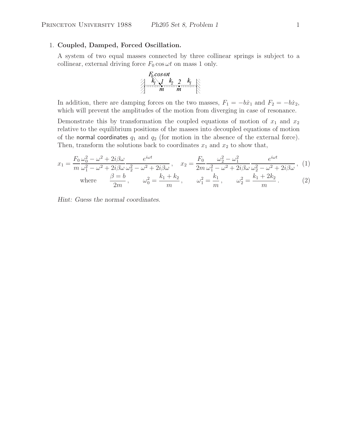## 1. **Coupled, Damped, Forced Oscillation.**

A system of two equal masses connected by three collinear springs is subject to a collinear, external driving force  $F_0 \cos \omega t$  on mass 1 only.

$$
F_0 \cos \omega t
$$
  

$$
F_0 \vee F_1
$$
  

$$
F_1
$$
  

$$
F_2
$$
  

$$
F_3
$$
  

$$
F_4
$$
  

$$
F_5
$$
  

$$
F_6
$$
  

$$
F_7
$$
  

$$
F_8
$$
  

$$
F_9
$$
  

$$
F_9
$$
  

$$
F_9
$$
  

$$
F_9
$$

In addition, there are damping forces on the two masses,  $F_1 = -b\dot{x}_1$  and  $F_2 = -b\dot{x}_2$ , which will prevent the amplitudes of the motion from diverging in case of resonance.

Demonstrate this by transformation the coupled equations of motion of  $x_1$  and  $x_2$ relative to the equilibrium positions of the masses into decoupled equations of motion of the normal coordinates  $q_1$  and  $q_2$  (for motion in the absence of the external force). Then, transform the solutions back to coordinates  $x_1$  and  $x_2$  to show that,

$$
x_1 = \frac{F_0}{m} \frac{\omega_0^2 - \omega^2 + 2i\beta\omega}{\omega_1^2 - \omega^2 + 2i\beta\omega} \frac{e^{i\omega t}}{\omega_2^2 - \omega^2 + 2i\beta\omega}, \quad x_2 = \frac{F_0}{2m} \frac{\omega_2^2 - \omega_1^2}{\omega_1^2 - \omega^2 + 2i\beta\omega} \frac{e^{i\omega t}}{\omega_2^2 - \omega^2 + 2i\beta\omega}, \quad (1)
$$
  
where  $\frac{\beta = b}{2m}$ ,  $\omega_0^2 = \frac{k_1 + k_2}{m}$ ,  $\omega_1^2 = \frac{k_1}{m}$ ,  $\omega_2^2 = \frac{k_1 + 2k_2}{m}$ . (2)

*Hint: Guess the normal coordinates.*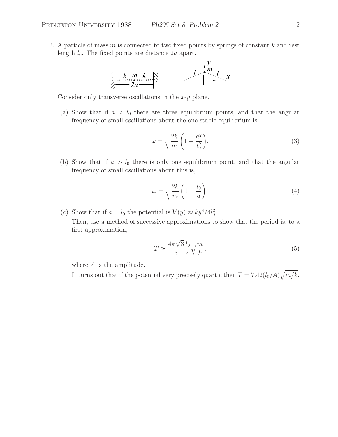2. A particle of mass  $m$  is connected to two fixed points by springs of constant  $k$  and rest length  $l_0$ . The fixed points are distance  $2a$  apart.



Consider only transverse oscillations in the  $x-y$  plane.

(a) Show that if  $a < l_0$  there are three equilibrium points, and that the angular frequency of small oscillations about the one stable equilibrium is,

$$
\omega = \sqrt{\frac{2k}{m} \left( 1 - \frac{a^2}{l_0^2} \right)}.
$$
\n(3)

(b) Show that if  $a > l_0$  there is only one equilibrium point, and that the angular frequency of small oscillations about this is,

$$
\omega = \sqrt{\frac{2k}{m} \left( 1 - \frac{l_0}{a} \right)}.\tag{4}
$$

(c) Show that if  $a = l_0$  the potential is  $V(y) \approx k y^4 / 4 l_0^2$ .

Then, use a method of successive approximations to show that the period is, to a first approximation,

$$
T \approx \frac{4\pi\sqrt{3}}{3} \frac{l_0}{A} \sqrt{\frac{m}{k}},\tag{5}
$$

where  $A$  is the amplitude.

It turns out that if the potential very precisely quartic then  $T = 7.42(l_0/A)\sqrt{m/k}$ .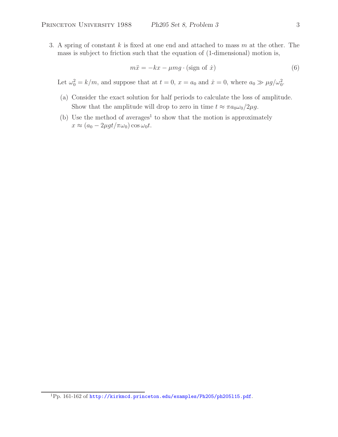3. A spring of constant  $k$  is fixed at one end and attached to mass  $m$  at the other. The mass is subject to friction such that the equation of (1-dimensional) motion is,

$$
m\ddot{x} = -kx - \mu mg \cdot (\text{sign of } \dot{x})\tag{6}
$$

Let  $\omega_0^2 = k/m$ , and suppose that at  $t = 0$ ,  $x = a_0$  and  $\dot{x} = 0$ , where  $a_0 \gg \mu g / \omega_0^2$ .

- (a) Consider the exact solution for half periods to calculate the loss of amplitude. Show that the amplitude will drop to zero in time  $t \approx \pi a_0 \omega_0 / 2 \mu g$ .
- (b) Use the method of averages<sup>1</sup> to show that the motion is approximately  $x \approx (a_0 - 2\mu g t / \pi \omega_0) \cos \omega_0 t.$

<sup>1</sup>Pp. 161-162 of http://kirkmcd.princeton.edu/examples/Ph205/ph205l15.pdf.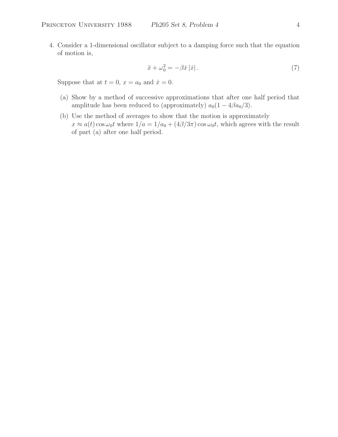4. Consider a 1-dimensional oscillator subject to a damping force such that the equation of motion is,

$$
\ddot{x} + \omega_0^2 = -\beta \dot{x} |\dot{x}| \,. \tag{7}
$$

Suppose that at  $t = 0$ ,  $x = a_0$  and  $\dot{x} = 0$ .

- (a) Show by a method of successive approximations that after one half period that amplitude has been reduced to (approximately)  $a_0(1 - 4\beta a_0/3)$ .
- (b) Use the method of averages to show that the motion is approximately  $x \approx a(t) \cos \omega_0 t$  where  $1/a = 1/a_0 + (4\beta/3\pi) \cos \omega_0 t$ , which agrees with the result of part (a) after one half period.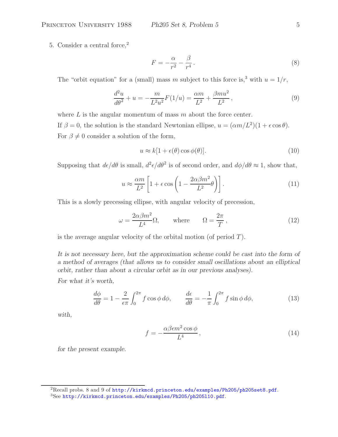5. Consider a central force,<sup>2</sup>

$$
F = -\frac{\alpha}{r^2} - \frac{\beta}{r^4} \,. \tag{8}
$$

The "orbit equation" for a (small) mass m subject to this force is,<sup>3</sup> with  $u = 1/r$ ,

$$
\frac{d^2u}{d\theta^2} + u = -\frac{m}{L^2u^2}F(1/u) = \frac{\alpha m}{L^2} + \frac{\beta mu^2}{L^2},\tag{9}
$$

where  $L$  is the angular momentum of mass  $m$  about the force center. If  $\beta = 0$ , the solution is the standard Newtonian ellipse,  $u = (\alpha m/L^2)(1 + \epsilon \cos \theta)$ . For  $\beta \neq 0$  consider a solution of the form,

$$
u \approx k[1 + \epsilon(\theta)\cos\phi(\theta)].
$$
\n(10)

Supposing that  $d\epsilon/d\theta$  is small,  $d^2\epsilon/d\theta^2$  is of second order, and  $d\phi/d\theta \approx 1$ , show that,

$$
u \approx \frac{\alpha m}{L^2} \left[ 1 + \epsilon \cos \left( 1 - \frac{2\alpha \beta m^2}{L^2} \theta \right) \right]. \tag{11}
$$

This is a slowly precessing ellipse, with angular velocity of precession,

$$
\omega = \frac{2\alpha\beta m^2}{L^4} \Omega, \quad \text{where} \quad \Omega = \frac{2\pi}{T}, \quad (12)
$$

is the average angular velocity of the orbital motion (of period  $T$ ).

*It is not necessary here, but the approximation scheme could be cast into the form of a method of averages (that allows us to consider small oscillations about an elliptical orbit, rather than about a circular orbit as in our previous analyses).*

*For what it's worth,*

$$
\frac{d\phi}{d\theta} = 1 - \frac{2}{\epsilon \pi} \int_0^{2\pi} f \cos \phi \, d\phi, \qquad \frac{d\epsilon}{d\theta} = -\frac{1}{\pi} \int_0^{2\pi} f \sin \phi \, d\phi,\tag{13}
$$

*with,*

$$
f = -\frac{\alpha \beta \epsilon m^2 \cos \phi}{L^4},\tag{14}
$$

*for the present example.*

<sup>&</sup>lt;sup>2</sup>Recall probs. 8 and 9 of http://kirkmcd.princeton.edu/examples/Ph205/ph205set8.pdf.

<sup>3</sup>See http://kirkmcd.princeton.edu/examples/Ph205/ph205l10.pdf.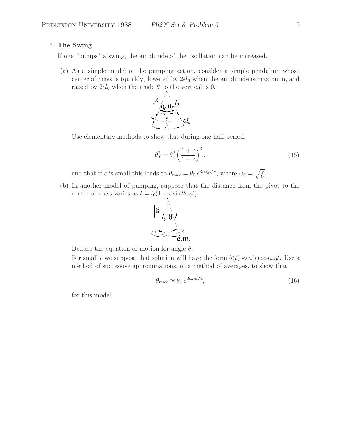# 6. **The Swing**

If one "pumps" a swing, the amplitude of the oscillation can be increased.

(a) As a simple model of the pumping action, consider a simple pendulum whose center of mass is (quickly) lowered by  $2\epsilon l_0$  when the amplitude is maximum, and raised by  $2\epsilon l_0$  when the angle  $\theta$  to the vertical is 0.



Use elementary methods to show that during one half period,

$$
\theta_f^2 = \theta_0^2 \left(\frac{1+\epsilon}{1-\epsilon}\right)^3,\tag{15}
$$

and that if  $\epsilon$  is small this leads to  $\theta_{\text{max}} = \theta_0 e^{3\epsilon \omega_0 t/\pi}$ , where  $\omega_0 = \sqrt{\frac{g}{k}}$  $\iota_0$ .

(b) In another model of pumping, suppose that the distance from the pivot to the center of mass varies as  $l = l_0(1 + \epsilon \sin 2\omega_0 t)$ .



Deduce the equation of motion for angle  $\theta$ .

For small  $\epsilon$  we suppose that solution will have the form  $\theta(t) \approx a(t) \cos \omega_0 t$ . Use a method of successive approximations, or a method of averages, to show that,

$$
\theta_{\text{max}} \approx \theta_0 \, e^{3\epsilon \omega_0 t/4},\tag{16}
$$

for this model.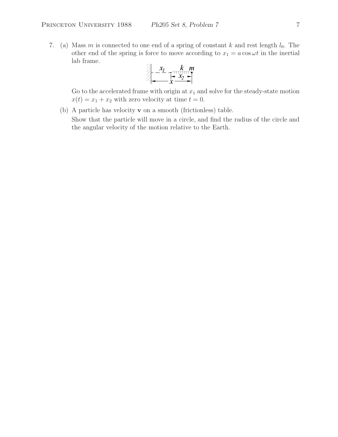7. (a) Mass m is connected to one end of a spring of constant k and rest length  $l_0$ . The other end of the spring is force to move according to  $x_1 = a \cos \omega t$  in the inertial lab frame.  $\overline{A}$ 

$$
x_1
$$

Go to the accelerated frame with origin at  $x_1$  and solve for the steady-state motion  $x(t) = x_1 + x_2$  with zero velocity at time  $t = 0$ .

(b) A particle has velocity **v** on a smooth (frictionless) table.

Show that the particle will move in a circle, and find the radius of the circle and the angular velocity of the motion relative to the Earth.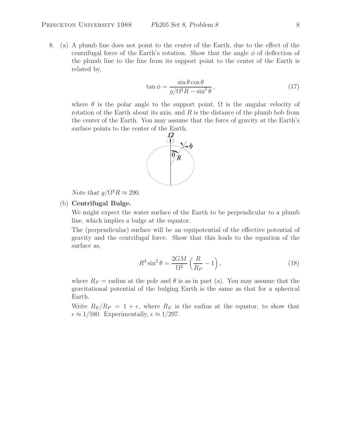8. (a) A plumb line does not point to the center of the Earth, due to the effect of the centrifugal force of the Earth's rotation. Show that the angle  $\phi$  of deflection of the plumb line to the line from its support point to the center of the Earth is related by,

$$
\tan \phi = \frac{\sin \theta \cos \theta}{g/\Omega^2 R - \sin^2 \theta},\qquad(17)
$$

where  $\theta$  is the polar angle to the support point,  $\Omega$  is the angular velocity of rotation of the Earth about its axis, and  $R$  is the distance of the plumb bob from the center of the Earth. You may assume that the force of gravity at the Earth's surface points to the center of the Earth.



*Note that*  $q/\Omega^2 R \approx 290$ .

# (b) **Centrifugal Bulge.**

We might expect the water surface of the Earth to be perpendicular to a plumb line, which implies a bulge at the equator.

The (perpendicular) surface will be an equipotential of the effective potential of gravity and the centrifugal force. Show that this leads to the equation of the surface as,

$$
R^3 \sin^2 \theta = \frac{2GM}{\Omega^2} \left( \frac{R}{R_P} - 1 \right),\tag{18}
$$

where  $R_P$  = radius at the pole and  $\theta$  is as in part (a). You may assume that the gravitational potential of the bulging Earth is the same as that for a spherical Earth.

Write  $R_E/R_P = 1+\epsilon$ , where  $R_E$  is the radius at the equator, to show that  $\epsilon \approx 1/580$ . Experimentally,  $\epsilon \approx 1/297$ .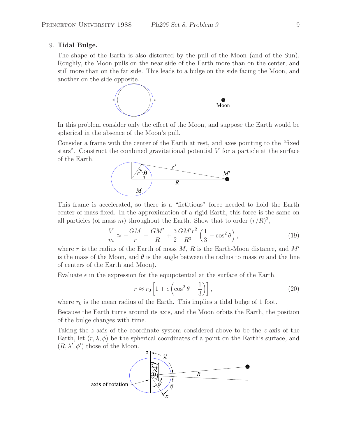### 9. **Tidal Bulge.**

The shape of the Earth is also distorted by the pull of the Moon (and of the Sun). Roughly, the Moon pulls on the near side of the Earth more than on the center, and still more than on the far side. This leads to a bulge on the side facing the Moon, and another on the side opposite.



In this problem consider only the effect of the Moon, and suppose the Earth would be spherical in the absence of the Moon's pull.

Consider a frame with the center of the Earth at rest, and axes pointing to the "fixed stars". Construct the combined gravitational potential  $V$  for a particle at the surface of the Earth.



This frame is accelerated, so there is a "fictitious" force needed to hold the Earth center of mass fixed. In the approximation of a rigid Earth, this force is the same on all particles (of mass m) throughout the Earth. Show that to order  $(r/R)^2$ ,

$$
\frac{V}{m} \approx -\frac{GM}{r} - \frac{GM'}{R} + \frac{3}{2}\frac{GM'r^2}{R^3} \left(\frac{1}{3} - \cos^2\theta\right),\tag{19}
$$

where r is the radius of the Earth of mass  $M, R$  is the Earth-Moon distance, and  $M'$ is the mass of the Moon, and  $\theta$  is the angle between the radius to mass m and the line of centers of the Earth and Moon).

Evaluate  $\epsilon$  in the expression for the equipotential at the surface of the Earth,

$$
r \approx r_0 \left[ 1 + \epsilon \left( \cos^2 \theta - \frac{1}{3} \right) \right],
$$
 (20)

where  $r_0$  is the mean radius of the Earth. This implies a tidal bulge of 1 foot.

Because the Earth turns around its axis, and the Moon orbits the Earth, the position of the bulge changes with time.

Taking the z-axis of the coordinate system considered above to be the z-axis of the Earth, let  $(r, \lambda, \phi)$  be the spherical coordinates of a point on the Earth's surface, and  $(R, \lambda', \phi')$  those of the Moon.

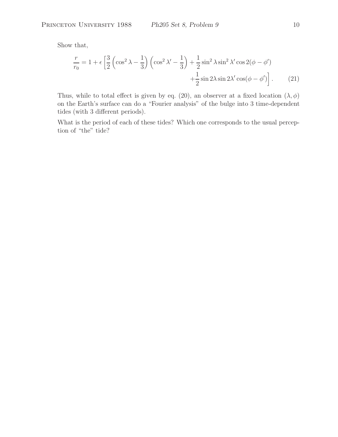Show that,

$$
\frac{r}{r_0} = 1 + \epsilon \left[ \frac{3}{2} \left( \cos^2 \lambda - \frac{1}{3} \right) \left( \cos^2 \lambda' - \frac{1}{3} \right) + \frac{1}{2} \sin^2 \lambda \sin^2 \lambda' \cos 2(\phi - \phi') + \frac{1}{2} \sin 2\lambda \sin 2\lambda' \cos(\phi - \phi') \right].
$$
 (21)

Thus, while to total effect is given by eq. (20), an observer at a fixed location  $(\lambda, \phi)$ on the Earth's surface can do a "Fourier analysis" of the bulge into 3 time-dependent tides (with 3 different periods).

What is the period of each of these tides? Which one corresponds to the usual perception of "the" tide?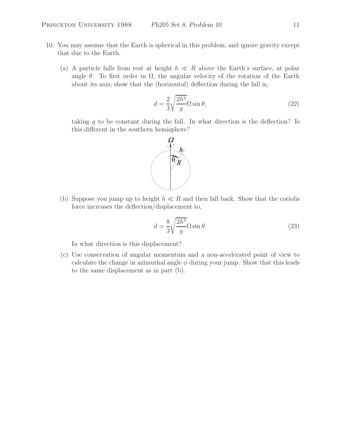- 10. You may assume that the Earth is spherical in this problem, and ignore gravity except that due to the Earth.
	- (a) A particle falls from rest at height  $h \ll R$  above the Earth's surface, at polar angle  $\theta$ . To first order in  $\Omega$ , the angular velocity of the rotation of the Earth about its axis, show that the (horizontal) deflection during the fall is,

$$
d = \frac{2}{3} \sqrt{\frac{2h^3}{g}} \Omega \sin \theta, \tag{22}
$$

taking  $g$  to be constant during the fall. In what direction is the deflection? Is this different in the southern hemisphere?



(b) Suppose you jump up to height  $h \ll R$  and then fall back. Show that the coriolis force increases the deflection/displacement to,

$$
d = \frac{8}{3} \sqrt{\frac{2h^3}{g}} \Omega \sin \theta.
$$
 (23)

In what direction is this displacement?

(c) Use conservation of angular momentum and a non-accelerated point of view to calculate the change in azimuthal angle  $\phi$  during your jump. Show that this leads to the same displacement as in part (b).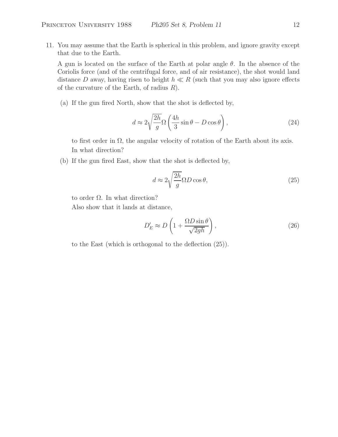11. You may assume that the Earth is spherical in this problem, and ignore gravity except that due to the Earth.

A gun is located on the surface of the Earth at polar angle  $\theta$ . In the absence of the Coriolis force (and of the centrifugal force, and of air resistance), the shot would land distance D away, having risen to height  $h \ll R$  (such that you may also ignore effects of the curvature of the Earth, of radius  $R$ ).

(a) If the gun fired North, show that the shot is deflected by,

$$
d \approx 2\sqrt{\frac{2h}{g}}\Omega\left(\frac{4h}{3}\sin\theta - D\cos\theta\right),\tag{24}
$$

to first order in  $\Omega$ , the angular velocity of rotation of the Earth about its axis. In what direction?

(b) If the gun fired East, show that the shot is deflected by,

$$
d \approx 2\sqrt{\frac{2h}{g}} \Omega D \cos \theta,\tag{25}
$$

to order Ω. In what direction?

Also show that it lands at distance,

$$
D'_E \approx D\left(1 + \frac{\Omega D \sin \theta}{\sqrt{2gh}}\right),\tag{26}
$$

to the East (which is orthogonal to the deflection (25)).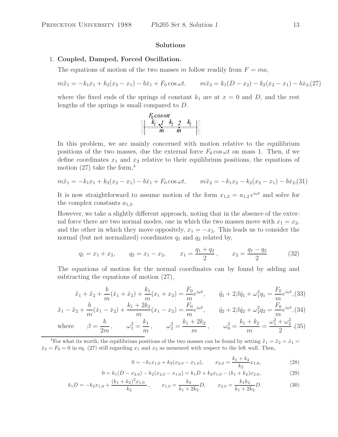## **Solutions**

#### 1. **Coupled, Damped, Forced Oscillation.**

The equations of motion of the two masses m follow readily from  $F = ma$ ,

$$
m\ddot{x}_1 = -k_1x_1 + k_2(x_2 - x_1) - b\dot{x}_1 + F_0 \cos \omega t, \qquad m\ddot{x}_2 = k_1(D - x_2) - k_2(x_2 - x_1) - b\dot{x}_2(27)
$$

where the fixed ends of the springs of constant  $k_1$  are at  $x = 0$  and D, and the rest lengths of the springs is small compared to D.

In this problem, we are mainly concerned with motion relative to the equilibrium positions of the two masses, due the external force  $F_0 \cos \omega t$  on mass 1. Then, if we define coordinates  $x_1$  and  $x_2$  relative to their equilibrium positions, the equations of motion (27) take the form,  $4$ 

$$
m\ddot{x}_1 = -k_1x_1 + k_2(x_2 - x_1) - b\dot{x}_1 + F_0 \cos \omega t, \qquad m\ddot{x}_2 = -k_1x_2 - k_2(x_2 - x_1) - b\dot{x}_2(31)
$$

It is now straightforward to assume motion of the form  $x_{1,2} = a_{1,2} e^{i\omega t}$  and solve for the complex constants  $a_{1,2}$ .

However, we take a slightly different approach, noting that in the absence of the external force there are two normal modes, one in which the two masses move with  $x_1 = x_2$ , and the other in which they move oppositely,  $x_1 = -x_2$ . This leads us to consider the normal (but not normalized) coordinates  $q_1$  and  $q_2$  related by,

$$
q_1 = x_1 + x_2,
$$
  $q_2 = x_1 - x_2,$   $x_1 = \frac{q_1 + q_2}{2},$   $x_2 = \frac{q_1 - q_2}{2}$  (32)

The equations of motion for the normal coordinates can by found by adding and subtracting the equations of motion (27),

$$
\ddot{x}_1 + \ddot{x}_2 + \frac{b}{m}(\dot{x}_1 + \dot{x}_2) + \frac{k_1}{m}(x_1 + x_2) = \frac{F_0}{m}e^{i\omega t}, \qquad \ddot{q}_1 + 2\beta \dot{q}_1 + \omega_1^2 q_1 = \frac{F_0}{m}e^{i\omega t},
$$
(33)

$$
\ddot{x}_1 - \ddot{x}_2 + \frac{b}{m}(\dot{x}_1 - \dot{x}_2) + \frac{k_1 + 2k_2}{m}(x_1 - x_2) = \frac{F_0}{m}e^{i\omega t}, \qquad \ddot{q}_2 + 2\beta \dot{q}_2 + \omega_2^2 q_2 = \frac{F_0}{m}e^{i\omega t},
$$
\n
$$
(34)
$$

where 
$$
\beta = \frac{b}{2m}
$$
,  $\omega_1^2 = \frac{k_1}{m}$ ,  $\omega_2^2 = \frac{k_1 + 2k_2}{m}$ ,  $\omega_0^2 = \frac{k_1 + k_2}{m} = \frac{\omega_1^2 + \omega_2^2}{2}$ . (35)

<sup>4</sup>For what its worth, the equilibrium positions of the two masses can be found by setting  $\ddot{x}_1 = \ddot{x}_2 = \dot{x}_1 =$  $\dot{x}_2 = F_0 = 0$  in eq. (27) still regarding  $x_1$  and  $x_2$  as measured with respect to the left wall. Then,

$$
0 = -k_1 x_{1,0} + k_2 (x_{2,0} - x_{1,0}), \qquad x_{2,0} = \frac{k_1 + k_2}{k_2} x_{1,0}, \tag{28}
$$

$$
0 = k_1(D - x_{2,0}) - k_2(x_{2,0} - x_{1,0}) = k_1D + k_2x_{1,0} - (k_1 + k_2)x_{2,0},
$$
\n(29)

$$
k_1D = -k_2x_{1,0} + \frac{(k_1 + k_2)^2 x_{1,0}}{k_2}, \qquad x_{1,0} = \frac{k_2}{k_1 + 2k_2}D, \qquad x_{2,0} = \frac{k_1k_2}{k_1 + 2k_2}D.
$$
 (30)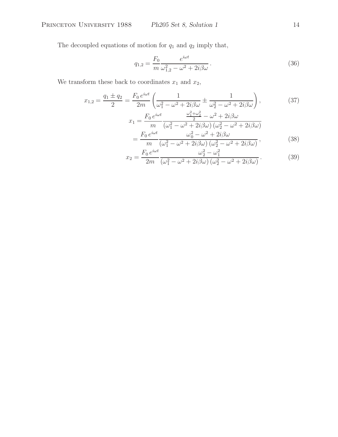The decoupled equations of motion for  $q_1$  and  $q_2$  imply that,

$$
q_{1,2} = \frac{F_0}{m} \frac{e^{i\omega t}}{\omega_{1,2}^2 - \omega^2 + 2i\beta\omega}.
$$
 (36)

We transform these back to coordinates  $x_1$  and  $x_2$ ,

$$
x_{1,2} = \frac{q_1 \pm q_2}{2} = \frac{F_0 e^{i\omega t}}{2m} \left( \frac{1}{\omega_1^2 - \omega^2 + 2i\beta\omega} \pm \frac{1}{\omega_2^2 - \omega^2 + 2i\beta\omega} \right),\tag{37}
$$

$$
x_1 = \frac{F_0 e^{i\omega t}}{m} \frac{\frac{\omega_1^2 + \omega_2^2}{2} - \omega^2 + 2i\beta\omega}{(\omega_1^2 - \omega^2 + 2i\beta\omega)(\omega_2^2 - \omega^2 + 2i\beta\omega)}
$$
  
= 
$$
\frac{F_0 e^{i\omega t}}{m} \frac{\omega_0^2 - \omega^2 + 2i\beta\omega}{(\omega_1^2 - \omega^2 + 2i\beta\omega)(\omega_2^2 - \omega^2 + 2i\beta\omega)},
$$
(38)

$$
x_2 = \frac{F_0 e^{i\omega t}}{2m} \frac{\omega_2^2 - \omega_1^2}{(\omega_1^2 - \omega^2 + 2i\beta\omega) (\omega_2^2 - \omega^2 + 2i\beta\omega)}.
$$
(39)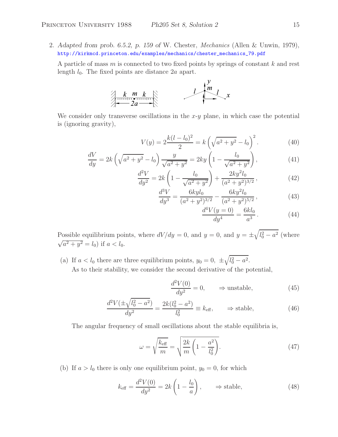2. *Adapted from prob. 6.5.2, p. 159 of* W. Chester, *Mechanics* (Allen & Unwin, 1979), http://kirkmcd.princeton.edu/examples/mechanics/chester\_mechanics\_79.pdf

A particle of mass  $m$  is connected to two fixed points by springs of constant  $k$  and rest length  $l_0$ . The fixed points are distance  $2a$  apart.



We consider only transverse oscillations in the  $x-y$  plane, in which case the potential is (ignoring gravity),

$$
V(y) = 2\frac{k(l - l_0)^2}{2} = k\left(\sqrt{a^2 + y^2} - l_0\right)^2.
$$
 (40)

$$
\frac{dV}{dy} = 2k\left(\sqrt{a^2 + y^2} - l_0\right)\frac{y}{\sqrt{a^2 + y^2}} = 2ky\left(1 - \frac{l_0}{\sqrt{a^2 + y^2}}\right),\tag{41}
$$

$$
\frac{d^2V}{dy^2} = 2k\left(1 - \frac{l_0}{\sqrt{a^2 + y^2}}\right) + \frac{2ky^2l_0}{(a^2 + y^2)^{3/2}},\tag{42}
$$

$$
\frac{d^3V}{dy^3} = \frac{6kyl_0}{(a^2+y^2)^{3/2}} - \frac{6ky^2l_0}{(a^2+y^2)^{5/2}},
$$
\n(43)

$$
\frac{d^4V(y=0)}{dy^4} = \frac{6kl_0}{a^3} \,. \tag{44}
$$

Possible equilibrium points, where  $dV/dy = 0$ , and  $y = 0$ , and  $y = \pm \sqrt{l_0^2 - a^2}$  (where  $\sqrt{a^2 + y^2} = l_0$ ) if  $a < l_0$ .

(a) If  $a < l_0$  there are three equilibrium points,  $y_0 = 0, \pm \sqrt{l_0^2 - a^2}$ . As to their stability, we consider the second derivative of the potential,

$$
\frac{d^2V(0)}{dy^2} = 0, \qquad \Rightarrow \text{unstable}, \tag{45}
$$

$$
\frac{d^2V(\pm\sqrt{l_0^2 - a^2})}{dy^2} = \frac{2k(l_0^2 - a^2)}{l_0^2} \equiv k_{\text{eff}}, \qquad \Rightarrow \text{stable}, \tag{46}
$$

The angular frequency of small oscillations about the stable equilibria is,

$$
\omega = \sqrt{\frac{k_{\text{eff}}}{m}} = \sqrt{\frac{2k}{m} \left( 1 - \frac{a^2}{l_0^2} \right)}.
$$
\n(47)

(b) If  $a > l_0$  there is only one equilibrium point,  $y_0 = 0$ , for which

$$
k_{\text{eff}} = \frac{d^2 V(0)}{dy^2} = 2k \left( 1 - \frac{l_0}{a} \right), \qquad \Rightarrow \text{stable}, \tag{48}
$$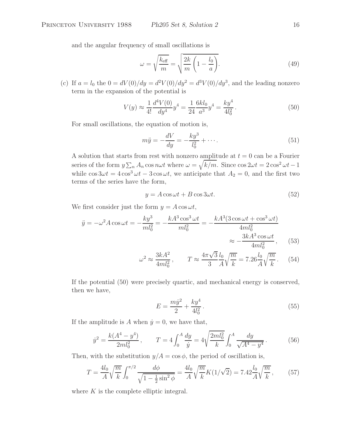and the angular frequency of small oscillations is

$$
\omega = \sqrt{\frac{k_{\text{eff}}}{m}} = \sqrt{\frac{2k}{m} \left(1 - \frac{l_0}{a}\right)}.
$$
\n(49)

(c) If  $a = l_0$  the  $0 = dV(0)/dy = d^2V(0)/dy^2 = d^3V(0)/dy^3$ , and the leading nonzero term in the expansion of the potential is

$$
V(y) \approx \frac{1}{4!} \frac{d^4 V(0)}{dy^4} y^4 = \frac{1}{24} \frac{6k l_0}{a^3} y^4 = \frac{k y^4}{4l_0^2} \,. \tag{50}
$$

For small oscillations, the equation of motion is,

$$
m\ddot{y} = -\frac{dV}{dy} = -\frac{ky^3}{l_0^2} + \dotsb. \tag{51}
$$

A solution that starts from rest with nonzero amplitude at  $t = 0$  can be a Fourier series of the form  $y \sum_n A_n \cos n\omega t$  where  $\omega = \sqrt{k/m}$ . Since  $\cos 2\omega t = 2 \cos^2 \omega t - 1$ while  $\cos 3\omega t = 4\cos^3 \omega t - 3\cos \omega t$ , we anticipate that  $A_2 = 0$ , and the first two terms of the series have the form,

$$
y = A\cos\omega t + B\cos 3\omega t. \tag{52}
$$

We first consider just the form  $y = A \cos \omega t$ ,

$$
\ddot{y} = -\omega^2 A \cos \omega t = -\frac{ky^3}{ml_0^2} = -\frac{kA^3 \cos^3 \omega t}{ml_0^2} = -\frac{kA^3 (3\cos \omega t + \cos^3 \omega t)}{4ml_0^2} \approx -\frac{3kA^3 \cos \omega t}{4ml_0^2},
$$
(53)

$$
\omega^2 \approx \frac{3kA^2}{4ml_0^2}, \qquad T \approx \frac{4\pi\sqrt{3}}{3} \frac{l_0}{A} \sqrt{\frac{m}{k}} = 7.26 \frac{l_0}{A} \sqrt{\frac{m}{k}}. \tag{54}
$$

If the potential (50) were precisely quartic, and mechanical energy is conserved, then we have,

$$
E = \frac{m\dot{y}^2}{2} + \frac{ky^4}{4l_0^2}.
$$
\n(55)

If the amplitude is A when  $\dot{y} = 0$ , we have that,

$$
\dot{y}^2 = \frac{k(A^4 - y^4)}{2ml_0^2}, \qquad T = 4 \int_0^A \frac{dy}{\dot{y}} = 4\sqrt{\frac{2ml_0^2}{k}} \int_0^A \frac{dy}{\sqrt{A^4 - y^4}}. \tag{56}
$$

Then, with the substitution  $y/A = \cos \phi$ , the period of oscillation is,

$$
T = \frac{4l_0}{A} \sqrt{\frac{m}{k}} \int_0^{\pi/2} \frac{d\phi}{\sqrt{1 - \frac{1}{2}\sin^2\phi}} = \frac{4l_0}{A} \sqrt{\frac{m}{k}} K(1/\sqrt{2}) = 7.42 \frac{l_0}{A} \sqrt{\frac{m}{k}},\tag{57}
$$

where  $K$  is the complete elliptic integral.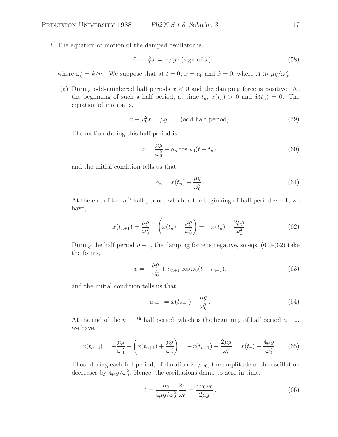3. The equation of motion of the damped oscillator is,

$$
\ddot{x} + \omega_0^2 x = -\mu g \cdot (\text{sign of } \dot{x}),\tag{58}
$$

where  $\omega_0^2 = k/m$ . We suppose that at  $t = 0$ ,  $x = a_0$  and  $\dot{x} = 0$ , where  $A \gg \mu g/\omega_0^2$ .

(a) During odd-numbered half periods  $\dot{x} < 0$  and the damping force is positive. At the beginning of such a half period, at time  $t_n$ ,  $x(t_n) > 0$  and  $\dot{x}(t_n) = 0$ . The equation of motion is,

$$
\ddot{x} + \omega_0^2 x = \mu g \qquad \text{(odd half period)}.
$$
\n(59)

The motion during this half period is,

$$
x = \frac{\mu g}{\omega_0^2} + a_n \cos \omega_0 (t - t_n),\tag{60}
$$

and the initial condition tells us that,

$$
a_n = x(t_n) - \frac{\mu g}{\omega_0^2}.
$$
\n<sup>(61)</sup>

At the end of the  $n<sup>th</sup>$  half period, which is the beginning of half period  $n + 1$ , we have,

$$
x(t_{n+1}) = \frac{\mu g}{\omega_0^2} - \left(x(t_n) - \frac{\mu g}{\omega_0^2}\right) = -x(t_n) + \frac{2\mu g}{\omega_0^2}.
$$
 (62)

During the half period  $n + 1$ , the damping force is negative, so eqs. (60)-(62) take the forms,

$$
x = -\frac{\mu g}{\omega_0^2} + a_{n+1} \cos \omega_0 (t - t_{n+1}),
$$
\n(63)

and the initial condition tells us that,

$$
a_{n+1} = x(t_{n+1}) + \frac{\mu g}{\omega_0^2}.
$$
\n(64)

At the end of the  $n + 1$ <sup>th</sup> half period, which is the beginning of half period  $n + 2$ , we have,

$$
x(t_{n+2}) = -\frac{\mu g}{\omega_0^2} - \left( x(t_{n+1}) + \frac{\mu g}{\omega_0^2} \right) = -x(t_{n+1}) - \frac{2\mu g}{\omega_0^2} = x(t_n) - \frac{4\mu g}{\omega_0^2}.
$$
 (65)

Thus, during each full period, of duration  $2\pi/\omega_0$ , the amplitude of the oscillation decreases by  $4\mu g/\omega_0^2$ . Hence, the oscillations damp to zero in time,

$$
t = \frac{a_0}{4\mu g/\omega_0^2} \frac{2\pi}{\omega_0} = \frac{\pi a_0 \omega_0}{2\mu g}.
$$
 (66)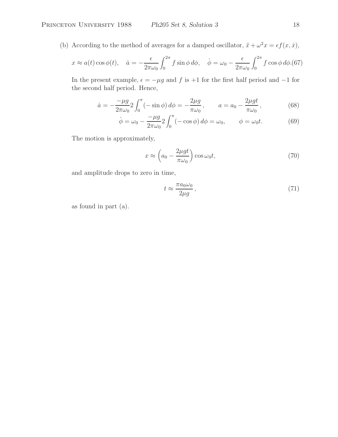(b) According to the method of averages for a damped oscillator,  $\ddot{x} + \omega^2 x = \epsilon f(x, \dot{x}),$ 

$$
x \approx a(t)\cos\phi(t), \quad \dot{a} = -\frac{\epsilon}{2\pi\omega_0} \int_0^{2\pi} f\sin\phi \,d\phi, \quad \dot{\phi} = \omega_0 - \frac{\epsilon}{2\pi\omega_0} \int_0^{2\pi} f\cos\phi \,d\phi. (67)
$$

In the present example,  $\epsilon = -\mu g$  and f is +1 for the first half period and  $-1$  for the second half period. Hence,

$$
\dot{a} = -\frac{-\mu g}{2\pi\omega_0} 2 \int_0^\pi (-\sin\phi) \, d\phi = -\frac{2\mu g}{\pi\omega_0}, \qquad a = a_0 - \frac{2\mu gt}{\pi\omega_0}, \tag{68}
$$

$$
\dot{\phi} = \omega_0 - \frac{-\mu g}{2\pi\omega_0} 2 \int_0^\pi (-\cos\phi) \, d\phi = \omega_0, \qquad \phi = \omega_0 t. \tag{69}
$$

The motion is approximately,

$$
x \approx \left(a_0 - \frac{2\mu gt}{\pi \omega_0}\right) \cos \omega_0 t,\tag{70}
$$

and amplitude drops to zero in time,

$$
t \approx \frac{\pi a_0 \omega_0}{2\mu g},\tag{71}
$$

as found in part (a).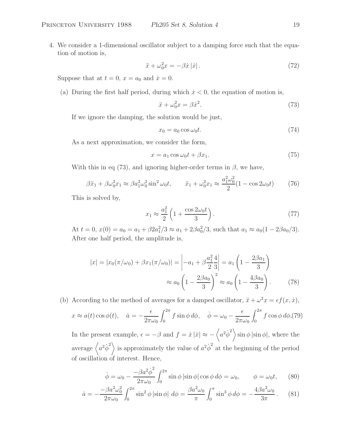4. We consider a 1-dimensional oscillator subject to a damping force such that the equation of motion is,

$$
\ddot{x} + \omega_0^2 x = -\beta \dot{x} |\dot{x}|.
$$
\n(72)

Suppose that at  $t = 0$ ,  $x = a_0$  and  $\dot{x} = 0$ .

(a) During the first half period, during which  $\dot{x} < 0$ , the equation of motion is,

$$
\ddot{x} + \omega_0^2 x = \beta \dot{x}^2. \tag{73}
$$

If we ignore the damping, the solution would be just,

$$
x_0 = a_0 \cos \omega_0 t. \tag{74}
$$

As a next approximation, we consider the form,

$$
x = a_1 \cos \omega_0 t + \beta x_1. \tag{75}
$$

With this in eq (73), and ignoring higher-order terms in  $\beta$ , we have,

$$
\beta \ddot{x}_1 + \beta \omega_0^2 x_1 \approx \beta a_1^2 \omega_0^2 \sin^2 \omega_0 t, \qquad \ddot{x}_1 + \omega_0^2 x_1 \approx \frac{a_1^2 \omega_0^2}{2} (1 - \cos 2\omega_0 t) \tag{76}
$$

This is solved by,

$$
x_1 \approx \frac{a_1^2}{2} \left( 1 + \frac{\cos 2\omega_0 t}{3} \right). \tag{77}
$$

At  $t = 0$ ,  $x(0) = a_0 = a_1 + \beta 2a_1^2/3 \approx a_1 + 2\beta a_0^2/3$ , such that  $a_1 \approx a_0(1 - 2\beta a_0/3)$ . After one half period, the amplitude is,

$$
|x| = |x_0(\pi/\omega_0) + \beta x_1(\pi/\omega_0)| = \left| -a_1 + \beta \frac{a_1^2}{2} \frac{4}{3} \right| = a_1 \left( 1 - \frac{2\beta a_1}{3} \right)
$$

$$
\approx a_0 \left( 1 - \frac{2\beta a_0}{3} \right)^2 \approx a_0 \left( 1 - \frac{4\beta a_0}{3} \right). \tag{78}
$$

(b) According to the method of averages for a damped oscillator,  $\ddot{x} + \omega^2 x = \epsilon f(x, \dot{x}),$ 

$$
x \approx a(t)\cos\phi(t), \quad \dot{a} = -\frac{\epsilon}{2\pi\omega_0} \int_0^{2\pi} f\sin\phi \,d\phi, \quad \dot{\phi} = \omega_0 - \frac{\epsilon}{2\pi\omega_0} \int_0^{2\pi} f\cos\phi \,d\phi, \quad (79)
$$

In the present example,  $\epsilon = -\beta$  and  $f = \dot{x} | \dot{x} | \approx -\langle a^2 \dot{\phi}^2 \rangle \sin \phi | \sin \phi |$ , where the average  $\langle a^2 \dot{\phi}^2 \rangle$  is approximately the value of  $a^2 \dot{\phi}^2$  at the beginning of the period of oscillation of interest. Hence,

$$
\dot{\phi} = \omega_0 - \frac{-\beta a^2 \dot{\phi}^2}{2\pi \omega_0} \int_0^{2\pi} \sin \phi \left| \sin \phi \right| \cos \phi \, d\phi = \omega_0, \qquad \phi = \omega_0 t,\qquad(80)
$$

$$
\dot{a} = -\frac{-\beta a^2 \omega_0^2}{2\pi \omega_0} \int_0^{2\pi} \sin^2 \phi \left| \sin \phi \right| \, d\phi = \frac{\beta a^2 \omega_0}{\pi} \int_0^{\pi} \sin^3 \phi \, d\phi = -\frac{4\beta a^2 \omega_0}{3\pi} \,. \tag{81}
$$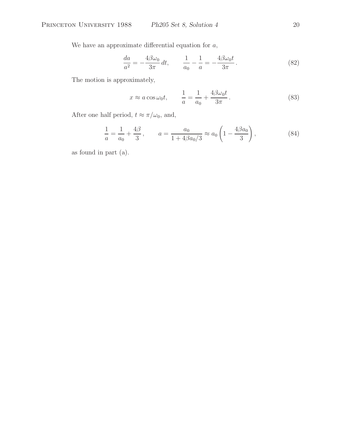We have an approximate differential equation for  $a$ ,

$$
\frac{da}{a^2} = -\frac{4\beta\omega_0}{3\pi} dt, \qquad \frac{1}{a_0} - \frac{1}{a} = -\frac{4\beta\omega_0 t}{3\pi}.
$$
 (82)

The motion is approximately,

$$
x \approx a \cos \omega_0 t, \qquad \frac{1}{a} = \frac{1}{a_0} + \frac{4\beta \omega_0 t}{3\pi}.
$$
 (83)

After one half period,  $t \approx \pi/\omega_0$ , and,

$$
\frac{1}{a} = \frac{1}{a_0} + \frac{4\beta}{3}, \qquad a = \frac{a_0}{1 + 4\beta a_0/3} \approx a_0 \left( 1 - \frac{4\beta a_0}{3} \right),\tag{84}
$$

as found in part (a).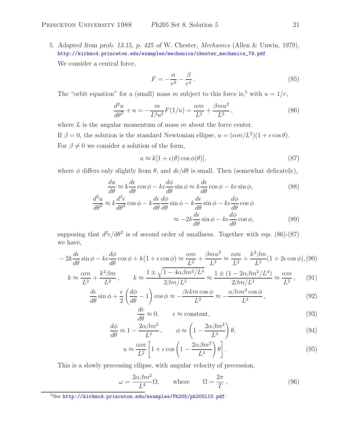5. *Adapted from prob. 13.15, p. 425 of* W. Chester, *Mechanics* (Allen & Unwin, 1979), http://kirkmcd.princeton.edu/examples/mechanics/chester\_mechanics\_79.pdf

We consider a central force,

$$
F = -\frac{\alpha}{r^2} - \frac{\beta}{r^4} \,. \tag{85}
$$

The "orbit equation" for a (small) mass m subject to this force is,<sup>5</sup> with  $u = 1/r$ ,

$$
\frac{d^2u}{d\theta^2} + u = -\frac{m}{L^2u^2}F(1/u) = \frac{\alpha m}{L^2} + \frac{\beta mu^2}{L^2},
$$
\n(86)

where  $L$  is the angular momentum of mass  $m$  about the force center. If  $\beta = 0$ , the solution is the standard Newtonian ellipse,  $u = (\alpha m/L^2)(1 + \epsilon \cos \theta)$ . For  $\beta \neq 0$  we consider a solution of the form,

$$
u \approx k[1 + \epsilon(\theta)\cos\phi(\theta)], \tag{87}
$$

where  $\phi$  differs only slightly from  $\theta$ , and  $d\epsilon/d\theta$  is small. Then (somewhat delicately),

$$
\frac{du}{d\theta} \approx k \frac{d\epsilon}{d\theta} \cos \phi - k\epsilon \frac{d\phi}{d\theta} \sin \phi \approx k \frac{d\epsilon}{d\theta} \cos \phi - k\epsilon \sin \phi,
$$
(88)  

$$
\frac{d^2u}{d\theta^2} \approx k \frac{d^2\epsilon}{d\theta^2} \cos \phi - k \frac{d\epsilon}{d\theta} \frac{d\phi}{d\theta} \sin \phi - k \frac{d\epsilon}{d\theta} \sin \phi - k\epsilon \frac{d\phi}{d\theta} \cos \phi
$$

$$
\approx -2k \frac{d\epsilon}{d\theta} \sin \phi - k\epsilon \frac{d\phi}{d\theta} \cos \phi,
$$
(89)

supposing that  $d^2\epsilon/d\theta^2$  is of second order of smallness. Together with eqs. (86)-(87) we have,

$$
-2k\frac{d\epsilon}{d\theta}\sin\phi - k\epsilon \frac{d\phi}{d\theta}\cos\phi + k(1+\epsilon\cos\phi) \approx \frac{\alpha m}{L^2} + \frac{\beta m u^2}{L^2} \approx \frac{\alpha m}{L^2} + \frac{k^2 \beta m}{L^2}(1+2\epsilon\cos\phi),
$$
 (90)

$$
k \approx \frac{\alpha m}{L^2} + \frac{k^2 \beta m}{L^2}, \qquad k \approx \frac{1 \pm \sqrt{1 - 4\alpha \beta m^2 / L^4}}{2\beta m / L^2} \approx \frac{1 \pm (1 - 2\alpha \beta m^2 / L^4)}{2\beta m / L^2} \approx \frac{\alpha m}{L^2}, \qquad (91)
$$

$$
\frac{d\epsilon}{d\theta}\sin\phi + \frac{\epsilon}{2}\left(\frac{d\phi}{d\theta} - 1\right)\cos\phi \approx -\frac{\beta\epsilon k m \cos\phi}{L^2} \approx -\frac{\alpha\beta\epsilon m^2 \cos\phi}{L^4},\tag{92}
$$

$$
\approx 0, \qquad \epsilon \approx \text{constant}, \tag{93}
$$

$$
\frac{d\phi}{d\theta} \approx 1 - \frac{2\alpha\beta m^2}{L^4}, \qquad \phi \approx \left(1 - \frac{2\alpha\beta m^2}{L^4}\right)\theta,\tag{94}
$$

$$
u \approx \frac{\alpha m}{L^2} \left[ 1 + \epsilon \cos \left( 1 - \frac{2\alpha \beta m^2}{L^4} \right) \theta \right]. \tag{95}
$$

This is a slowly precessing ellipse, with angular velocity of precession,

$$
\omega = \frac{2\alpha\beta m^2}{L^4} \Omega, \quad \text{where} \quad \Omega = \frac{2\pi}{T}, \quad (96)
$$

 $\overline{d\theta}$ 

<sup>5</sup>See http://kirkmcd.princeton.edu/examples/Ph205/ph205l10.pdf.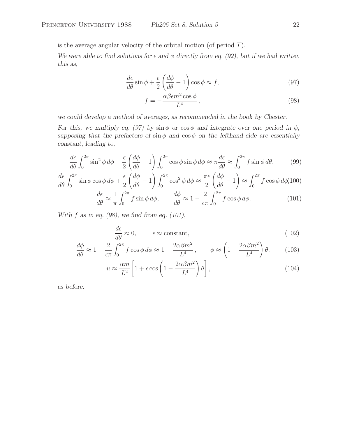is the average angular velocity of the orbital motion (of period  $T$ ).

*We were able to find solutions for*  $\epsilon$  *and*  $\phi$  *directly from eq. (92), but if we had written this as,*

$$
\frac{d\epsilon}{d\theta}\sin\phi + \frac{\epsilon}{2}\left(\frac{d\phi}{d\theta} - 1\right)\cos\phi \approx f,\tag{97}
$$

$$
f = -\frac{\alpha \beta \epsilon m^2 \cos \phi}{L^4},\tag{98}
$$

*we could develop a method of averages, as recommended in the book by Chester.*

*For this, we multiply eq. (97) by*  $\sin \phi$  *or*  $\cos \phi$  *and integrate over one period in*  $\phi$ *, supposing that the prefactors of*  $\sin \phi$  *and*  $\cos \phi$  *on the lefthand side are essentially constant, leading to,*

$$
\frac{d\epsilon}{d\theta} \int_0^{2\pi} \sin^2 \phi \, d\phi + \frac{\epsilon}{2} \left( \frac{d\phi}{d\theta} - 1 \right) \int_0^{2\pi} \cos \phi \sin \phi \, d\phi \approx \pi \frac{d\epsilon}{d\theta} \approx \int_0^{2\pi} f \sin \phi \, d\theta,\tag{99}
$$

$$
\frac{d\epsilon}{d\theta} \int_0^{2\pi} \sin\phi \cos\phi \,d\phi + \frac{\epsilon}{2} \left(\frac{d\phi}{d\theta} - 1\right) \int_0^{2\pi} \cos^2\phi \,d\phi \approx \frac{\pi\epsilon}{2} \left(\frac{d\phi}{d\theta} - 1\right) \approx \int_0^{2\pi} f \cos\phi \,d\phi (100)
$$
  

$$
\frac{d\epsilon}{d\theta} = 1 - t^{2\pi}
$$

$$
\frac{d\epsilon}{d\theta} \approx \frac{1}{\pi} \int_0^{2\pi} f \sin \phi \, d\phi, \qquad \frac{d\phi}{d\theta} \approx 1 - \frac{2}{\epsilon \pi} \int_0^{2\pi} f \cos \phi \, d\phi. \tag{101}
$$

*With* f *as in eq. (98), we find from eq. (101),*

$$
\frac{d\epsilon}{d\theta} \approx 0, \qquad \epsilon \approx \text{constant}, \tag{102}
$$

$$
\frac{d\phi}{d\theta} \approx 1 - \frac{2}{\epsilon \pi} \int_0^{2\pi} f \cos \phi \, d\phi \approx 1 - \frac{2\alpha \beta m^2}{L^4}, \qquad \phi \approx \left(1 - \frac{2\alpha \beta m^2}{L^4}\right) \theta. \tag{103}
$$

$$
u \approx \frac{\alpha m}{L^2} \left[ 1 + \epsilon \cos \left( 1 - \frac{2\alpha \beta m^2}{L^4} \right) \theta \right],\tag{104}
$$

*as before.*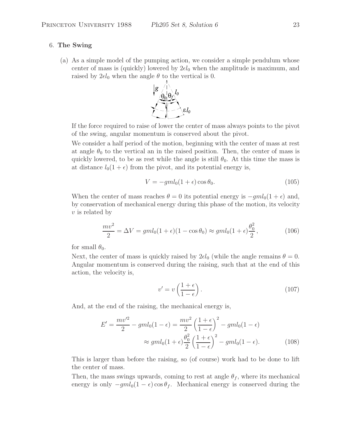### 6. **The Swing**

(a) As a simple model of the pumping action, we consider a simple pendulum whose center of mass is (quickly) lowered by  $2\epsilon l_0$  when the amplitude is maximum, and raised by  $2\epsilon l_0$  when the angle  $\theta$  to the vertical is 0.



If the force required to raise of lower the center of mass always points to the pivot of the swing, angular momentum is conserved about the pivot.

We consider a half period of the motion, beginning with the center of mass at rest at angle  $\theta_0$  to the vertical an in the raised position. Then, the center of mass is quickly lowered, to be as rest while the angle is still  $\theta_0$ . At this time the mass is at distance  $l_0(1 + \epsilon)$  from the pivot, and its potential energy is,

$$
V = -gml_0(1+\epsilon)\cos\theta_0. \tag{105}
$$

When the center of mass reaches  $\theta = 0$  its potential energy is  $-gml_0(1+\epsilon)$  and, by conservation of mechanical energy during this phase of the motion, its velocity  $v$  is related by

$$
\frac{mv^2}{2} = \Delta V = gml_0(1+\epsilon)(1-\cos\theta_0) \approx gml_0(1+\epsilon)\frac{\theta_0^2}{2},\qquad (106)
$$

for small  $\theta_0$ .

Next, the center of mass is quickly raised by  $2\epsilon l_0$  (while the angle remains  $\theta = 0$ . Angular momentum is conserved during the raising, such that at the end of this action, the velocity is,

$$
v' = v\left(\frac{1+\epsilon}{1-\epsilon}\right). \tag{107}
$$

And, at the end of the raising, the mechanical energy is,

$$
E' = \frac{mv'^2}{2} - gml_0(1 - \epsilon) = \frac{mv^2}{2} \left(\frac{1 + \epsilon}{1 - \epsilon}\right)^2 - gml_0(1 - \epsilon)
$$

$$
\approx gml_0(1 + \epsilon)\frac{\theta_0^2}{2} \left(\frac{1 + \epsilon}{1 - \epsilon}\right)^2 - gml_0(1 - \epsilon).
$$
(108)

This is larger than before the raising, so (of course) work had to be done to lift the center of mass.

Then, the mass swings upwards, coming to rest at angle  $\theta_f$ , where its mechanical energy is only  $-gml_0(1-\epsilon)\cos\theta_f$ . Mechanical energy is conserved during the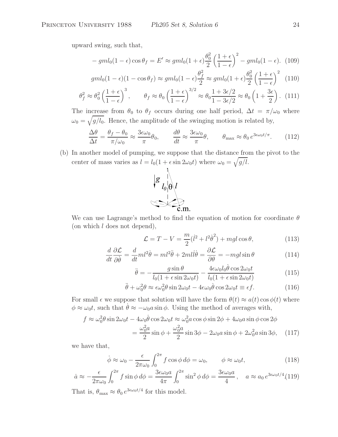upward swing, such that,

$$
-gml_0(1-\epsilon)\cos\theta_f = E' \approx gml_0(1+\epsilon)\frac{\theta_0^2}{2}\left(\frac{1+\epsilon}{1-\epsilon}\right)^2 - gml_0(1-\epsilon). \tag{109}
$$

$$
gml_0(1-\epsilon)(1-\cos\theta_f) \approx gml_0(1-\epsilon)\frac{\theta_f^2}{2} \approx gml_0(1+\epsilon)\frac{\theta_0^2}{2}\left(\frac{1+\epsilon}{1-\epsilon}\right)^2 \tag{110}
$$

$$
\theta_f^2 \approx \theta_0^2 \left(\frac{1+\epsilon}{1-\epsilon}\right)^3, \qquad \theta_f \approx \theta_0 \left(\frac{1+\epsilon}{1-\epsilon}\right)^{3/2} \approx \theta_0 \frac{1+3\epsilon/2}{1-3\epsilon/2} \approx \theta_0 \left(1+\frac{3\epsilon}{2}\right). \tag{111}
$$

The increase from  $\theta_0$  to  $\theta_f$  occurs during one half period,  $\Delta t = \pi/\omega_0$  where  $\omega_0 = \sqrt{g/l_0}$ . Hence, the amplitude of the swinging motion is related by,

$$
\frac{\Delta\theta}{\Delta t} = \frac{\theta_f - \theta_0}{\pi/\omega_0} \approx \frac{3\epsilon\omega_0}{\pi}\theta_0, \qquad \frac{d\theta}{dt} \approx \frac{3\epsilon\omega_0}{\pi}\theta, \qquad \theta_{\text{max}} \approx \theta_0 e^{3\epsilon\omega_0 t/\pi}.
$$
 (112)

(b) In another model of pumping, we suppose that the distance from the pivot to the center of mass varies as  $l = l_0(1 + \epsilon \sin 2\omega_0 t)$  where  $\omega_0 = \sqrt{g/l}$ .



We can use Lagrange's method to find the equation of motion for coordinate  $\theta$ (on which l does not depend),

$$
\mathcal{L} = T - V = \frac{m}{2}(\dot{l}^2 + l^2\dot{\theta}^2) + mgl\cos\theta,\tag{113}
$$

$$
\frac{d}{dt}\frac{\partial \mathcal{L}}{\partial \dot{\theta}} = \frac{d}{dt}ml^2\dot{\theta} = ml^2\ddot{\theta} + 2ml\dot{l}\dot{\theta} = \frac{\partial \mathcal{L}}{\partial \theta} = -mgl\sin\theta
$$
\n(114)

$$
\ddot{\theta} = -\frac{g \sin \theta}{l_0 (1 + \epsilon \sin 2\omega_0 t)} - \frac{4\epsilon \omega_0 l_0 \dot{\theta} \cos 2\omega_0 t}{l_0 (1 + \epsilon \sin 2\omega_0 t)}
$$
(115)

$$
\ddot{\theta} + \omega_0^2 \theta \approx \epsilon \omega_0^2 \theta \sin 2\omega_0 t - 4\epsilon \omega_0 \dot{\theta} \cos 2\omega_0 t \equiv \epsilon f. \tag{116}
$$

For small  $\epsilon$  we suppose that solution will have the form  $\theta(t) \approx a(t) \cos \phi(t)$  where  $\phi \approx \omega_0 t$ , such that  $\dot{\theta} \approx -\omega_0 a \sin \phi$ . Using the method of averages with,

$$
f \approx \omega_0^2 \theta \sin 2\omega_0 t - 4\omega_0 \dot{\theta} \cos 2\omega_0 t \approx \omega_0^2 a \cos \phi \sin 2\phi + 4\omega_0 a \sin \phi \cos 2\phi
$$
  
= 
$$
\frac{\omega_0^2 a}{2} \sin \phi + \frac{\omega_0^2 a}{2} \sin 3\phi - 2\omega_0 a \sin \phi + 2\omega_0^2 a \sin 3\phi,
$$
 (117)

we have that,

$$
\dot{\phi} \approx \omega_0 - \frac{\epsilon}{2\pi\omega_0} \int_0^{2\pi} f \cos\phi \, d\phi = \omega_0, \qquad \phi \approx \omega_0 t,\tag{118}
$$

$$
\dot{a} \approx -\frac{\epsilon}{2\pi\omega_0} \int_0^{2\pi} f \sin\phi \, d\phi = \frac{3\epsilon\omega_0 a}{4\pi} \int_0^{2\pi} \sin^2\phi \, d\phi = \frac{3\epsilon\omega_0 a}{4}, \quad a \approx a_0 \, e^{3\epsilon\omega_0 t/4} \tag{119}
$$

That is,  $\theta_{\text{max}} \approx \theta_0 e^{3\epsilon \omega_0 t/4}$  for this model.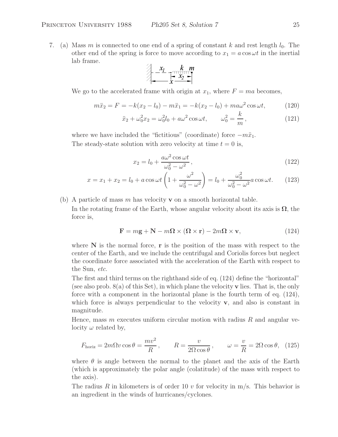7. (a) Mass m is connected to one end of a spring of constant k and rest length  $l_0$ . The other end of the spring is force to move according to  $x_1 = a \cos \omega t$  in the inertial lab frame.

$$
x_1
$$

We go to the accelerated frame with origin at  $x_1$ , where  $F = ma$  becomes,

$$
m\ddot{x}_2 = F = -k(x_2 - l_0) - m\ddot{x}_1 = -k(x_2 - l_0) + ma\omega^2 \cos \omega t, \qquad (120)
$$

$$
\ddot{x}_2 + \omega_0^2 x_2 = \omega_0^2 l_0 + a\omega^2 \cos \omega t, \qquad \omega_0^2 = \frac{k}{m}, \qquad (121)
$$

where we have included the "fictitious" (coordinate) force  $-m\ddot{x}_1$ . The steady-state solution with zero velocity at time  $t = 0$  is,

$$
x_2 = l_0 + \frac{a\omega^2 \cos \omega t}{\omega_0^2 - \omega^2},\tag{122}
$$

$$
x = x_1 + x_2 = l_0 + a \cos \omega t \left( 1 + \frac{\omega^2}{\omega_0^2 - \omega^2} \right) = l_0 + \frac{\omega_0^2}{\omega_0^2 - \omega^2} a \cos \omega t.
$$
 (123)

(b) A particle of mass m has velocity **v** on a smooth horizontal table.

In the rotating frame of the Earth, whose angular velocity about its axis is  $\Omega$ , the force is,

$$
\mathbf{F} = m\mathbf{g} + \mathbf{N} - m\mathbf{\Omega} \times (\mathbf{\Omega} \times \mathbf{r}) - 2m\mathbf{\Omega} \times \mathbf{v},\tag{124}
$$

where  $N$  is the normal force,  $r$  is the position of the mass with respect to the center of the Earth, and we include the centrifugal and Coriolis forces but neglect the coordinate force associated with the acceleration of the Earth with respect to the Sun, *etc.*

The first and third terms on the righthand side of eq. (124) define the "horizontal" (see also prob. 8(a) of this Set), in which plane the velocity **v** lies. That is, the only force with a component in the horizontal plane is the fourth term of eq. (124), which force is always perpendicular to the velocity **v**, and also is constant in magnitude.

Hence, mass  $m$  executes uniform circular motion with radius  $R$  and angular velocity  $\omega$  related by,

$$
F_{\text{horiz}} = 2m\Omega v \cos\theta = \frac{mv^2}{R}, \qquad R = \frac{v}{2\Omega\cos\theta}, \qquad \omega = \frac{v}{R} = 2\Omega\cos\theta, \tag{125}
$$

where  $\theta$  is angle between the normal to the planet and the axis of the Earth (which is approximately the polar angle (colatitude) of the mass with respect to the axis).

The radius R in kilometers is of order 10 v for velocity in  $m/s$ . This behavior is an ingredient in the winds of hurricanes/cyclones.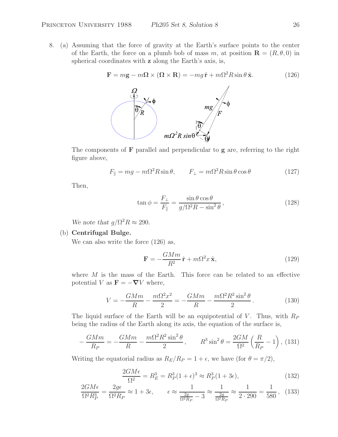8. (a) Assuming that the force of gravity at the Earth's surface points to the center of the Earth, the force on a plumb bob of mass m, at position  $\mathbf{R} = (R, \theta, 0)$  in spherical coordinates with **z** along the Earth's axis, is,

$$
\mathbf{F} = m\mathbf{g} - m\mathbf{\Omega} \times (\mathbf{\Omega} \times \mathbf{R}) = -mg\,\hat{\mathbf{r}} + m\Omega^2 R \sin\theta \,\hat{\mathbf{x}}.\tag{126}
$$



The components of **F** parallel and perpendicular to **g** are, referring to the right figure above,

$$
F_{\parallel} = mg - m\Omega^2 R \sin \theta, \qquad F_{\perp} = m\Omega^2 R \sin \theta \cos \theta \tag{127}
$$

Then,

$$
\tan \phi = \frac{F_{\perp}}{F_{\parallel}} = \frac{\sin \theta \cos \theta}{g/\Omega^2 R - \sin^2 \theta},
$$
\n(128)

*We note that*  $q/\Omega^2 R \approx 290$ .

### (b) **Centrifugal Bulge.**

We can also write the force  $(126)$  as,

$$
\mathbf{F} = -\frac{GMm}{R^2}\hat{\mathbf{r}} + m\Omega^2 x \hat{\mathbf{x}},\qquad(129)
$$

where  $M$  is the mass of the Earth. This force can be related to an effective potential V as  $\mathbf{F} = -\nabla V$  where,

$$
V = -\frac{GMm}{R} - \frac{m\Omega^2 x^2}{2} = -\frac{GMm}{R} - \frac{m\Omega^2 R^2 \sin^2 \theta}{2}.
$$
 (130)

The liquid surface of the Earth will be an equipotential of V. Thus, with  $R_P$ being the radius of the Earth along its axis, the equation of the surface is,

$$
-\frac{GMm}{R_P} = -\frac{GMm}{R} - \frac{m\Omega^2 R^2 \sin^2 \theta}{2}, \qquad R^3 \sin^2 \theta = \frac{2GM}{\Omega^2} \left(\frac{R}{R_P} - 1\right), \tag{131}
$$

Writing the equatorial radius as  $R_E/R_P = 1 + \epsilon$ , we have (for  $\theta = \pi/2$ ),

$$
\frac{2GM\epsilon}{\Omega^2} = R_E^3 = R_P^3 (1+\epsilon)^3 \approx R_P^3 (1+3\epsilon),\tag{132}
$$

$$
\frac{2GM\epsilon}{\Omega^2 R_P^3} = \frac{2g\epsilon}{\Omega^2 R_P} \approx 1 + 3\epsilon, \qquad \epsilon \approx \frac{1}{\frac{2g}{\Omega^2 R_P} - 3} \approx \frac{1}{\frac{2g}{\Omega^2 R_P}} \approx \frac{1}{2 \cdot 290} = \frac{1}{580}, \tag{133}
$$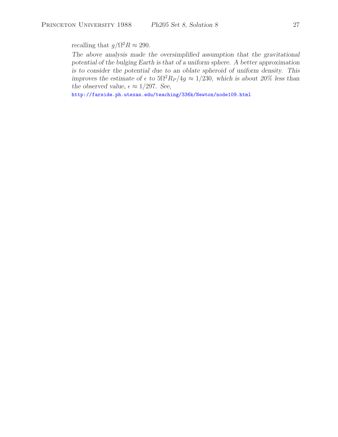recalling that  $g/\Omega^2 R \approx 290$ .

*The above analysis made the oversimplified assumption that the gravitational potential of the bulging Earth is that of a uniform sphere. A better approximation is to consider the potential due to an oblate spheroid of uniform density. This improves the estimate of*  $\epsilon$  *to*  $5\Omega^2 R_P / 4g \approx 1/230$ *, which is about 20% less than the observed value,*  $\epsilon \approx 1/297$ *. See,* 

http://farside.ph.utexas.edu/teaching/336k/Newton/node109.html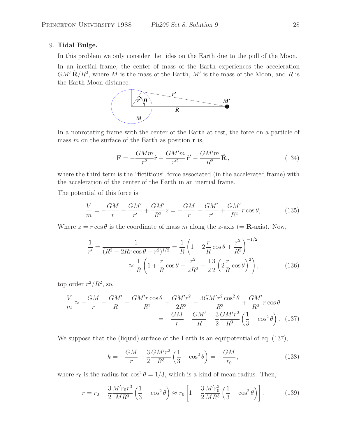# 9. **Tidal Bulge.**

In this problem we only consider the tides on the Earth due to the pull of the Moon.

In an inertial frame, the center of mass of the Earth experiences the acceleration  $GM'\hat{\mathbf{R}}/R^2$ , where M is the mass of the Earth, M' is the mass of the Moon, and R is the Earth-Moon distance.



In a nonrotating frame with the center of the Earth at rest, the force on a particle of mass m on the surface of the Earth as position **r** is,

$$
\mathbf{F} = -\frac{GMm}{r^2}\hat{\mathbf{r}} - \frac{GM'm}{r'^2}\hat{\mathbf{r}}' - \frac{GM'm}{R^2}\hat{\mathbf{R}},\qquad(134)
$$

where the third term is the "fictitious" force associated (in the accelerated frame) with the acceleration of the center of the Earth in an inertial frame.

The potential of this force is

$$
\frac{V}{m} = -\frac{GM}{r} - \frac{GM'}{r'} + \frac{GM'}{R^2}z = -\frac{GM}{r} - \frac{GM'}{r'} + \frac{GM'}{R^2}r\cos\theta,\tag{135}
$$

Where  $z = r \cos \theta$  is the coordinate of mass m along the z-axis (= **R**-axis). Now,

$$
\frac{1}{r'} = \frac{1}{(R^2 - 2Rr\cos\theta + r^2)^{1/2}} = \frac{1}{R} \left( 1 - 2\frac{r}{R}\cos\theta + \frac{r^2}{R^2} \right)^{-1/2}
$$

$$
\approx \frac{1}{R} \left( 1 + \frac{r}{R}\cos\theta - \frac{r^2}{2R^2} + \frac{1}{2}\frac{3}{2}\left( 2\frac{r}{R}\cos\theta \right)^2 \right), \tag{136}
$$

top order  $r^2/R^2$ , so,

$$
\frac{V}{m} \approx -\frac{GM}{r} - \frac{GM'}{R} - \frac{GM'r\cos\theta}{R^2} + \frac{GM'r^2}{2R^3} - \frac{3GM'r^2\cos^2\theta}{R^3} + \frac{GM'}{R^2}r\cos\theta
$$

$$
= -\frac{GM'}{r} - \frac{GM'}{R} + \frac{3}{2}\frac{GM'r^2}{R^3}\left(\frac{1}{3} - \cos^2\theta\right). \tag{137}
$$

We suppose that the (liquid) surface of the Earth is an equipotential of eq. (137),

$$
k = -\frac{GM}{r} + \frac{3}{2}\frac{GM'r^2}{R^3} \left(\frac{1}{3} - \cos^2\theta\right) = -\frac{GM}{r_0},\tag{138}
$$

where  $r_0$  is the radius for  $\cos^2 \theta = 1/3$ , which is a kind of mean radius. Then,

$$
r = r_0 - \frac{3}{2} \frac{M' r_0 r^3}{MR^3} \left(\frac{1}{3} - \cos^2 \theta\right) \approx r_0 \left[1 - \frac{3}{2} \frac{M' r_0^3}{MR^3} \left(\frac{1}{3} - \cos^2 \theta\right)\right].
$$
 (139)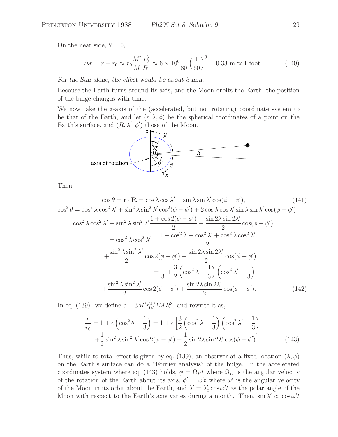On the near side,  $\theta = 0$ ,

$$
\Delta r = r - r_0 \approx r_0 \frac{M'}{M} \frac{r_0^3}{R^3} \approx 6 \times 10^6 \frac{1}{80} \left(\frac{1}{60}\right)^3 = 0.33 \text{ m} \approx 1 \text{ foot.}
$$
 (140)

*For the Sun alone, the effect would be about 3 mm.*

Because the Earth turns around its axis, and the Moon orbits the Earth, the position of the bulge changes with time.

We now take the  $z$ -axis of the (accelerated, but not rotating) coordinate system to be that of the Earth, and let  $(r, \lambda, \phi)$  be the spherical coordinates of a point on the Earth's surface, and  $(R, \lambda', \phi')$  those of the Moon.



Then,

$$
\cos^{2} \theta = \hat{\mathbf{r}} \cdot \hat{\mathbf{R}} = \cos \lambda \cos \lambda' + \sin \lambda \sin \lambda' \cos(\phi - \phi'), \qquad (141)
$$
  
\n
$$
\cos^{2} \theta = \cos^{2} \lambda \cos^{2} \lambda' + \sin^{2} \lambda \sin^{2} \lambda' \cos^{2}(\phi - \phi') + 2 \cos \lambda \cos \lambda' \sin \lambda \sin \lambda' \cos(\phi - \phi')\n= \cos^{2} \lambda \cos^{2} \lambda' + \sin^{2} \lambda \sin^{2} \lambda' \frac{1 + \cos 2(\phi - \phi')}{2} + \frac{\sin 2\lambda \sin 2\lambda'}{2} \cos(\phi - \phi'),\n= \cos^{2} \lambda \cos^{2} \lambda' + \frac{1 - \cos^{2} \lambda - \cos^{2} \lambda' + \cos^{2} \lambda \cos^{2} \lambda'}{2} \n+ \frac{\sin^{2} \lambda \sin^{2} \lambda'}{2} \cos 2(\phi - \phi') + \frac{\sin 2\lambda \sin 2\lambda'}{2} \cos(\phi - \phi')\n= \frac{1}{3} + \frac{3}{2} \left( \cos^{2} \lambda - \frac{1}{3} \right) \left( \cos^{2} \lambda' - \frac{1}{3} \right) \n+ \frac{\sin^{2} \lambda \sin^{2} \lambda'}{2} \cos 2(\phi - \phi') + \frac{\sin 2\lambda \sin 2\lambda'}{2} \cos(\phi - \phi'). \qquad (142)
$$

In eq. (139). we define  $\epsilon = 3M' r_0^2 / 2MR^3$ , and rewrite it as,

$$
\frac{r}{r_0} = 1 + \epsilon \left( \cos^2 \theta - \frac{1}{3} \right) = 1 + \epsilon \left[ \frac{3}{2} \left( \cos^2 \lambda - \frac{1}{3} \right) \left( \cos^2 \lambda' - \frac{1}{3} \right) \right.
$$
  
 
$$
+ \frac{1}{2} \sin^2 \lambda \sin^2 \lambda' \cos 2(\phi - \phi') + \frac{1}{2} \sin 2\lambda \sin 2\lambda' \cos(\phi - \phi') \right].
$$
 (143)

Thus, while to total effect is given by eq. (139), an observer at a fixed location  $(\lambda, \phi)$ on the Earth's surface can do a "Fourier analysis" of the bulge. In the accelerated coordinates system where eq. (143) holds,  $\phi = \Omega_E t$  where  $\Omega_E$  is the angular velocity of the rotation of the Earth about its axis,  $\phi' = \omega' t$  where  $\omega'$  is the angular velocity of the Moon in its orbit about the Earth, and  $\lambda' = \lambda'_0 \cos \omega' t$  as the polar angle of the Moon with respect to the Earth's axis varies during a month. Then,  $\sin \lambda' \propto \cos \omega' t$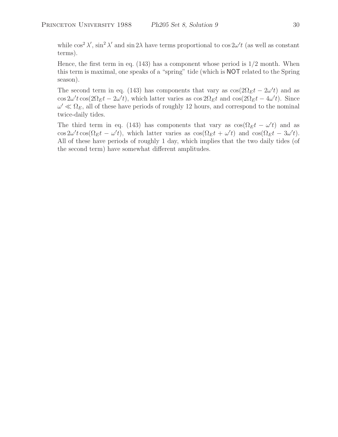while  $\cos^2 \lambda'$ ,  $\sin^2 \lambda'$  and  $\sin 2\lambda$  have terms proportional to  $\cos 2\omega' t$  (as well as constant terms).

Hence, the first term in eq.  $(143)$  has a component whose period is  $1/2$  month. When this term is maximal, one speaks of a "spring" tide (which is NOT related to the Spring season).

The second term in eq. (143) has components that vary as  $\cos(2\Omega_E t - 2\omega' t)$  and as  $\cos 2\omega' t \cos(2\Omega_E t - 2\omega' t)$ , which latter varies as  $\cos 2\Omega_E t$  and  $\cos(2\Omega_E t - 4\omega' t)$ . Since  $\omega' \ll \Omega_E$ , all of these have periods of roughly 12 hours, and correspond to the nominal twice-daily tides.

The third term in eq. (143) has components that vary as  $\cos(\Omega_E t - \omega' t)$  and as  $\cos 2\omega' t \cos(\Omega_E t - \omega' t)$ , which latter varies as  $\cos(\Omega_E t + \omega' t)$  and  $\cos(\Omega_E t - 3\omega' t)$ . All of these have periods of roughly 1 day, which implies that the two daily tides (of the second term) have somewhat different amplitudes.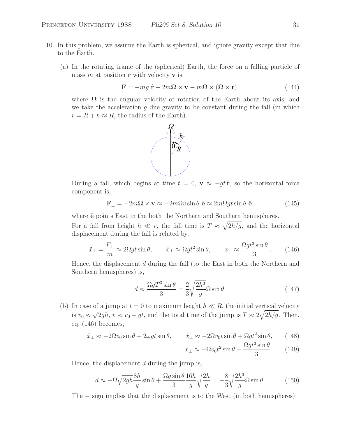- 10. In this problem, we assume the Earth is spherical, and ignore gravity except that due to the Earth.
	- (a) In the rotating frame of the (spherical) Earth, the force on a falling particle of mass m at position **r** with velocity **v** is,

$$
\mathbf{F} = -mg\ \hat{\mathbf{r}} - 2m\Omega \times \mathbf{v} - m\Omega \times (\Omega \times \mathbf{r}),\tag{144}
$$

where  $\Omega$  is the angular velocity of rotation of the Earth about its axis, and we take the acceleration  $g$  due gravity to be constant during the fall (in which  $r = R + h \approx R$ , the radius of the Earth).



During a fall, which begins at time  $t = 0$ ,  $\mathbf{v} \approx -gt \hat{\mathbf{r}}$ , so the horizontal force component is,

$$
\mathbf{F}_{\perp} = -2m\Omega \times \mathbf{v} \approx -2m\Omega v \sin \theta \hat{\mathbf{e}} \approx 2m\Omega gt \sin \theta \hat{\mathbf{e}}, \qquad (145)
$$

where  $\hat{\mathbf{e}}$  points East in the both the Northern and Southern hemispheres.

For a fall from height  $h \ll r$ , the fall time is  $T \approx \sqrt{2h/g}$ , and the horizontal displacement during the fall is related by,

$$
\ddot{x}_{\perp} = \frac{F_{\perp}}{m} \approx 2\Omega gt \sin \theta, \qquad \dot{x}_{\perp} \approx \Omega gt^2 \sin \theta, \qquad x_{\perp} \approx \frac{\Omega gt^3 \sin \theta}{3}.
$$
 (146)

Hence, the displacement d during the fall (to the East in both the Northern and Southern hemispheres) is,

$$
d \approx \frac{\Omega g T^3 \sin \theta}{3} = \frac{2}{3} \sqrt{\frac{2h^3}{g}} \Omega \sin \theta.
$$
 (147)

(b) In case of a jump at  $t = 0$  to maximum height  $h \ll R$ , the initial vertical velocity is  $v_0 \approx \sqrt{2gh}$ ,  $v \approx v_0 - gt$ , and the total time of the jump is  $T \approx 2\sqrt{2h/g}$ . Then, eq. (146) becomes,

$$
\ddot{x}_{\perp} \approx -2\Omega v_0 \sin \theta + 2\omega gt \sin \theta, \qquad \dot{x}_{\perp} \approx -2\Omega v_0 t \sin \theta + \Omega gt^2 \sin \theta,\qquad(148)
$$

$$
x_{\perp} \approx -\Omega v_0 t^2 \sin \theta + \frac{\Omega g t^3 \sin \theta}{3}.
$$
 (149)

Hence, the displacement  $d$  during the jump is,

$$
d \approx -\Omega \sqrt{2gh} \frac{8h}{g} \sin \theta + \frac{\Omega g \sin \theta}{3} \frac{16h}{g} \sqrt{\frac{2h}{g}} = -\frac{8}{3} \sqrt{\frac{2h^3}{g}} \Omega \sin \theta.
$$
 (150)

The − sign implies that the displacement is to the West (in both hemispheres).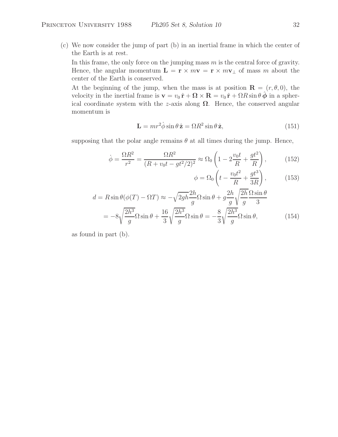(c) We now consider the jump of part (b) in an inertial frame in which the center of the Earth is at rest.

In this frame, the only force on the jumping mass  $m$  is the central force of gravity. Hence, the angular momentum  $\mathbf{L} = \mathbf{r} \times m\mathbf{v} = \mathbf{r} \times m\mathbf{v}_{\perp}$  of mass m about the center of the Earth is conserved.

At the beginning of the jump, when the mass is at position  $\mathbf{R} = (r, \theta, 0)$ , the velocity in the inertial frame is  $\mathbf{v} = v_0 \hat{\mathbf{r}} + \mathbf{\Omega} \times \mathbf{R} = v_0 \hat{\mathbf{r}} + \Omega R \sin \theta \hat{\boldsymbol{\phi}}$  in a spherical coordinate system with the z-axis along  $\Omega$ . Hence, the conserved angular momentum is

$$
\mathbf{L} = mr^2 \dot{\phi} \sin \theta \,\hat{\mathbf{z}} = \Omega R^2 \sin \theta \,\hat{\mathbf{z}},\tag{151}
$$

supposing that the polar angle remains  $\theta$  at all times during the jump. Hence,

$$
\dot{\phi} = \frac{\Omega R^2}{r^2} = \frac{\Omega R^2}{(R + v_0 t - gt^2/2)^2} \approx \Omega_0 \left( 1 - 2\frac{v_0 t}{R} + \frac{gt^2}{R} \right),\tag{152}
$$

$$
\phi = \Omega_0 \left( t - \frac{v_0 t^2}{R} + \frac{gt^3}{3R} \right),\tag{153}
$$

$$
d = R \sin \theta (\phi(T) - \Omega T) \approx -\sqrt{2gh} \frac{2h}{g} \Omega \sin \theta + g \frac{2h}{g} \sqrt{\frac{2h}{g}} \frac{\Omega \sin \theta}{3}
$$

$$
= -8\sqrt{\frac{2h^3}{g}} \Omega \sin \theta + \frac{16}{3} \sqrt{\frac{2h^3}{g}} \Omega \sin \theta = -\frac{8}{3} \sqrt{\frac{2h^3}{g}} \Omega \sin \theta,
$$
(154)

as found in part (b).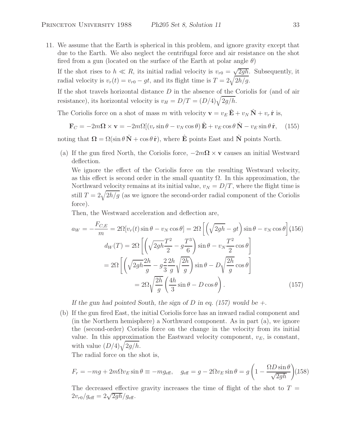11. We assume that the Earth is spherical in this problem, and ignore gravity except that due to the Earth. We also neglect the centrifugal force and air resistance on the shot fired from a gun (located on the surface of the Earth at polar angle  $\theta$ )

If the shot rises to  $h \ll R$ , its initial radial velocity is  $v_{r0} = \sqrt{2gh}$ . Subsequently, it radial velocity is  $v_r(t) = v_{r0} - gt$ , and its flight time is  $T = 2\sqrt{2h/g}$ .

If the shot travels horizontal distance  $D$  in the absence of the Coriolis for (and of air resistance), its horizontal velocity is  $v_H = D/T = (D/4)\sqrt{2g/h}$ .

The Coriolis force on a shot of mass m with velocity  $\mathbf{v} = v_E \hat{\mathbf{E}} + v_N \hat{\mathbf{N}} + v_r \hat{\mathbf{r}}$  is,

$$
\mathbf{F}_C = -2m\mathbf{\Omega} \times \mathbf{v} = -2m\Omega[(v_r \sin \theta - v_N \cos \theta) \hat{\mathbf{E}} + v_E \cos \theta \hat{\mathbf{N}} - v_E \sin \theta \hat{\mathbf{r}}, \quad (155)
$$

noting that  $\Omega = \Omega(\sin \theta \hat{N} + \cos \theta \hat{r})$ , where  $\hat{E}$  points East and  $\hat{N}$  points North.

(a) If the gun fired North, the Coriolis force,  $-2m\Omega \times \mathbf{v}$  causes an initial Westward deflection.

We ignore the effect of the Coriolis force on the resulting Westward velocity, as this effect is second order in the small quantity  $\Omega$ . In this approximation, the Northward velocity remains at its initial value,  $v_N = D/T$ , where the flight time is still  $T = 2\sqrt{2h/g}$  (as we ignore the second-order radial component of the Coriolis force).

Then, the Westward acceleration and deflection are,

$$
a_W = -\frac{F_{C,E}}{m} = 2\Omega[v_r(t)\sin\theta - v_N\cos\theta] = 2\Omega\left[\left(\sqrt{2gh} - gt\right)\sin\theta - v_N\cos\theta\right](156)
$$

$$
d_W(T) = 2\Omega\left[\left(\sqrt{2gh}\frac{T^2}{2} - g\frac{T^3}{6}\right)\sin\theta - v_N\frac{T^2}{2}\cos\theta\right]
$$

$$
= 2\Omega\left[\left(\sqrt{2gh}\frac{2h}{g} - g\frac{2}{3}\frac{2h}{g}\sqrt{\frac{2h}{g}}\right)\sin\theta - D\sqrt{\frac{2h}{g}}\cos\theta\right]
$$

$$
= 2\Omega\sqrt{\frac{2h}{g}}\left(\frac{4h}{3}\sin\theta - D\cos\theta\right).
$$
(157)

*If the gun had pointed South, the sign of* D *in eq. (157) would be +.*

(b) If the gun fired East, the initial Coriolis force has an inward radial component and (in the Northern hemisphere) a Northward component. As in part (a), we ignore the (second-order) Coriolis force on the change in the velocity from its initial value. In this approximation the Eastward velocity component,  $v_E$ , is constant, with value  $(D/4)\sqrt{2g/h}$ .

The radial force on the shot is,

$$
F_r = -mg + 2m\Omega v_E \sin \theta \equiv -mg_{\text{eff}}, \quad g_{\text{eff}} = g - 2\Omega v_E \sin \theta = g \left(1 - \frac{\Omega D \sin \theta}{\sqrt{2gh}}\right) (158)
$$

The decreased effective gravity increases the time of flight of the shot to  $T =$  $2v_{r0}/g_{\text{eff}} = 2\sqrt{2gh}/g_{\text{eff}}$ .